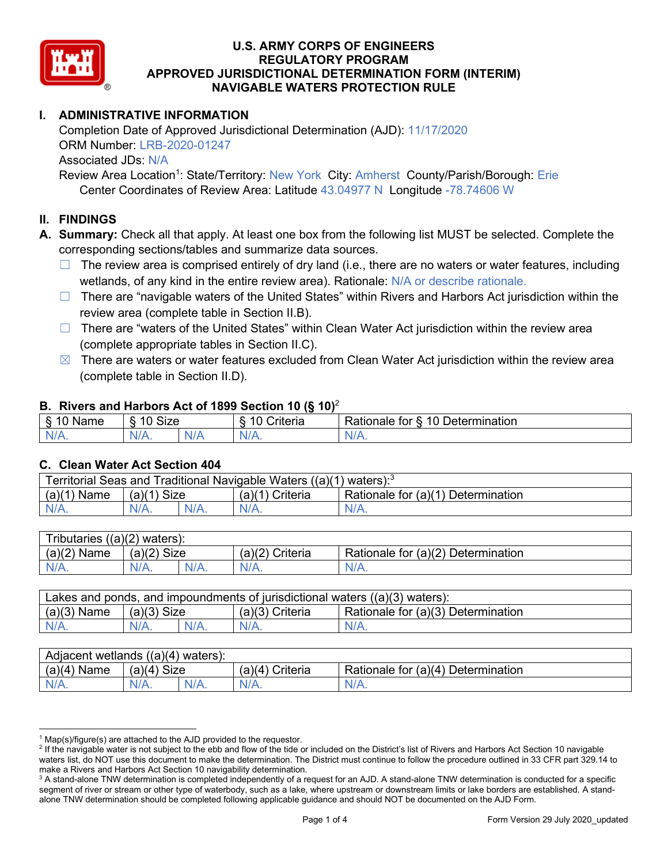

# **I. ADMINISTRATIVE INFORMATION**

Completion Date of Approved Jurisdictional Determination (AJD): 11/17/2020 ORM Number: LRB-2020-01247 Associated JDs: N/A

Review Area Location<sup>1</sup>: State/Territory: New York City: Amherst County/Parish/Borough: Erie Center Coordinates of Review Area: Latitude 43.04977 N Longitude -78.74606 W

## **II. FINDINGS**

**A. Summary:** Check all that apply. At least one box from the following list MUST be selected. Complete the corresponding sections/tables and summarize data sources.

- $\Box$  The review area is comprised entirely of dry land (i.e., there are no waters or water features, including wetlands, of any kind in the entire review area). Rationale: N/A or describe rationale.
- $\Box$  There are "navigable waters of the United States" within Rivers and Harbors Act jurisdiction within the review area (complete table in Section II.B).
- $\Box$  There are "waters of the United States" within Clean Water Act jurisdiction within the review area (complete appropriate tables in Section II.C).
- $\boxtimes$  There are waters or water features excluded from Clean Water Act jurisdiction within the review area (complete table in Section II.D).

#### **B. Rivers and Harbors Act of 1899 Section 10 (§ 10)**<sup>2</sup>

| w                                           |                        |     |                                           |                                                                                |  |  |  |  |
|---------------------------------------------|------------------------|-----|-------------------------------------------|--------------------------------------------------------------------------------|--|--|--|--|
| я<br>$\sim$ 10.0 $\sim$<br>'vame'<br>υ<br>ູ | Size<br>$\overline{A}$ |     | $\overline{A}$ $\overline{C}$<br>`rıterıa | $\overline{\phantom{a}}$<br>10<br>Jetermination<br>$\sim$<br>tor<br>kationale: |  |  |  |  |
| N/L                                         | "<br>'V/A.             | NIA | N/L<br>97 / TV                            | .<br>w.<br>11 I N.                                                             |  |  |  |  |

#### **C. Clean Water Act Section 404**

| Territorial Seas and Traditional Navigable Waters ((a)(1)<br>waters): $3$ |                |  |                   |                                    |  |  |  |
|---------------------------------------------------------------------------|----------------|--|-------------------|------------------------------------|--|--|--|
| (a)(1)<br>Name                                                            | Size<br>(a)(1) |  | $(a)(1)$ Criteria | Rationale for (a)(1) Determination |  |  |  |
|                                                                           | N/A.           |  | $N/A$ .           | $N/A$ .                            |  |  |  |

| Tributaries<br>$((a)(2)$ waters): |                |         |                    |                                    |  |  |  |  |
|-----------------------------------|----------------|---------|--------------------|------------------------------------|--|--|--|--|
| (a)(2)<br>Name                    | (a)(2)<br>Size |         | (a)(2)<br>Criteria | Rationale for (a)(2) Determination |  |  |  |  |
| $N/A$ .                           | $N/A$ .        | $N/A$ . | $N/A$ .            | N/A.                               |  |  |  |  |

| Lakes and ponds, and impoundments of jurisdictional waters $((a)(3)$ waters): |               |         |                 |                                    |  |  |  |
|-------------------------------------------------------------------------------|---------------|---------|-----------------|------------------------------------|--|--|--|
| $(a)(3)$ Name                                                                 | $(a)(3)$ Size |         | (a)(3) Criteria | Rationale for (a)(3) Determination |  |  |  |
| $N/A$ .                                                                       |               | $N/A$ . | $N/A$ .         | $N/A$ .                            |  |  |  |

| ((a)(4)<br>Adiacent wetlands<br>waters). |                       |      |                   |                                                            |  |  |  |  |
|------------------------------------------|-----------------------|------|-------------------|------------------------------------------------------------|--|--|--|--|
| (a)(4)<br>Name                           | <b>Size</b><br>(a)(4) |      | Criteria<br>′а)(4 | .∪r (a)(4 <sup>)</sup> Γ<br>Rationale for<br>Determination |  |  |  |  |
| N/A.                                     | $N/A$ .               | N/A. | $N/A$ .           | $N/L$ .                                                    |  |  |  |  |

 $1$  Map(s)/figure(s) are attached to the AJD provided to the requestor.

<sup>&</sup>lt;sup>2</sup> If the navigable water is not subject to the ebb and flow of the tide or included on the District's list of Rivers and Harbors Act Section 10 navigable waters list, do NOT use this document to make the determination. The District must continue to follow the procedure outlined in 33 CFR part 329.14 to make a Rivers and Harbors Act Section 10 navigability determination.

<sup>&</sup>lt;sup>3</sup> A stand-alone TNW determination is completed independently of a request for an AJD. A stand-alone TNW determination is conducted for a specific segment of river or stream or other type of waterbody, such as a lake, where upstream or downstream limits or lake borders are established. A standalone TNW determination should be completed following applicable guidance and should NOT be documented on the AJD Form.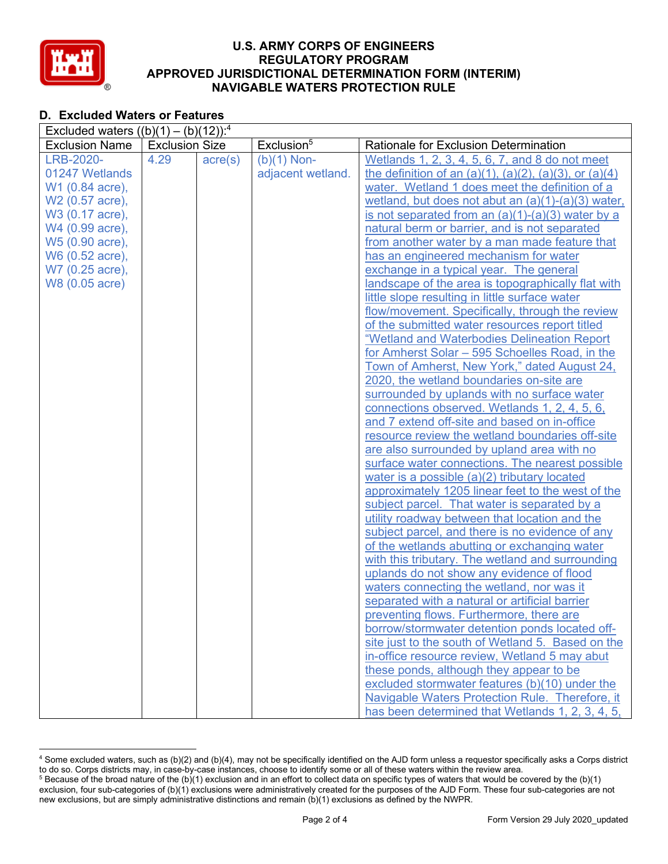

# **D. Excluded Waters or Features**

| Excluded waters $((b)(1) - (b)(12))$ : <sup>4</sup> |                                                 |                  |                   |                                                                   |  |  |  |
|-----------------------------------------------------|-------------------------------------------------|------------------|-------------------|-------------------------------------------------------------------|--|--|--|
| <b>Exclusion Name</b>                               | Exclusion <sup>5</sup><br><b>Exclusion Size</b> |                  |                   | Rationale for Exclusion Determination                             |  |  |  |
| LRB-2020-                                           | 4.29                                            | $\text{acre}(s)$ | $(b)(1)$ Non-     | Wetlands 1, 2, 3, 4, 5, 6, 7, and 8 do not meet                   |  |  |  |
| 01247 Wetlands                                      |                                                 |                  | adjacent wetland. | the definition of an $(a)(1)$ , $(a)(2)$ , $(a)(3)$ , or $(a)(4)$ |  |  |  |
| W1 (0.84 acre),                                     |                                                 |                  |                   | water. Wetland 1 does meet the definition of a                    |  |  |  |
| W2 (0.57 acre),                                     |                                                 |                  |                   | wetland, but does not abut an $(a)(1)-(a)(3)$ water,              |  |  |  |
| W3 (0.17 acre),                                     |                                                 |                  |                   | is not separated from an $(a)(1)-(a)(3)$ water by a               |  |  |  |
| W4 (0.99 acre),                                     |                                                 |                  |                   | natural berm or barrier, and is not separated                     |  |  |  |
| W5 (0.90 acre),                                     |                                                 |                  |                   | from another water by a man made feature that                     |  |  |  |
| W6 (0.52 acre),                                     |                                                 |                  |                   | has an engineered mechanism for water                             |  |  |  |
| W7 (0.25 acre),                                     |                                                 |                  |                   | exchange in a typical year. The general                           |  |  |  |
| W8 (0.05 acre)                                      |                                                 |                  |                   | landscape of the area is topographically flat with                |  |  |  |
|                                                     |                                                 |                  |                   | little slope resulting in little surface water                    |  |  |  |
|                                                     |                                                 |                  |                   | flow/movement. Specifically, through the review                   |  |  |  |
|                                                     |                                                 |                  |                   | of the submitted water resources report titled                    |  |  |  |
|                                                     |                                                 |                  |                   | "Wetland and Waterbodies Delineation Report                       |  |  |  |
|                                                     |                                                 |                  |                   | for Amherst Solar - 595 Schoelles Road, in the                    |  |  |  |
|                                                     |                                                 |                  |                   | Town of Amherst, New York," dated August 24,                      |  |  |  |
|                                                     |                                                 |                  |                   | 2020, the wetland boundaries on-site are                          |  |  |  |
|                                                     |                                                 |                  |                   | surrounded by uplands with no surface water                       |  |  |  |
|                                                     |                                                 |                  |                   | connections observed. Wetlands 1, 2, 4, 5, 6,                     |  |  |  |
|                                                     |                                                 |                  |                   | and 7 extend off-site and based on in-office                      |  |  |  |
|                                                     |                                                 |                  |                   | resource review the wetland boundaries off-site                   |  |  |  |
|                                                     |                                                 |                  |                   | are also surrounded by upland area with no                        |  |  |  |
|                                                     |                                                 |                  |                   | surface water connections. The nearest possible                   |  |  |  |
|                                                     |                                                 |                  |                   | water is a possible (a)(2) tributary located                      |  |  |  |
|                                                     |                                                 |                  |                   | approximately 1205 linear feet to the west of the                 |  |  |  |
|                                                     |                                                 |                  |                   | subject parcel. That water is separated by a                      |  |  |  |
|                                                     |                                                 |                  |                   | utility roadway between that location and the                     |  |  |  |
|                                                     |                                                 |                  |                   | subject parcel, and there is no evidence of any                   |  |  |  |
|                                                     |                                                 |                  |                   | of the wetlands abutting or exchanging water                      |  |  |  |
|                                                     |                                                 |                  |                   | with this tributary. The wetland and surrounding                  |  |  |  |
|                                                     |                                                 |                  |                   | uplands do not show any evidence of flood                         |  |  |  |
|                                                     |                                                 |                  |                   | waters connecting the wetland, nor was it                         |  |  |  |
|                                                     |                                                 |                  |                   | separated with a natural or artificial barrier                    |  |  |  |
|                                                     |                                                 |                  |                   | preventing flows. Furthermore, there are                          |  |  |  |
|                                                     |                                                 |                  |                   | borrow/stormwater detention ponds located off-                    |  |  |  |
|                                                     |                                                 |                  |                   | site just to the south of Wetland 5. Based on the                 |  |  |  |
|                                                     |                                                 |                  |                   | in-office resource review, Wetland 5 may abut                     |  |  |  |
|                                                     |                                                 |                  |                   | these ponds, although they appear to be                           |  |  |  |
|                                                     |                                                 |                  |                   | excluded stormwater features (b)(10) under the                    |  |  |  |
|                                                     |                                                 |                  |                   | Navigable Waters Protection Rule. Therefore, it                   |  |  |  |
|                                                     |                                                 |                  |                   | has been determined that Wetlands 1, 2, 3, 4, 5,                  |  |  |  |

<sup>4</sup> Some excluded waters, such as (b)(2) and (b)(4), may not be specifically identified on the AJD form unless a requestor specifically asks a Corps district to do so. Corps districts may, in case-by-case instances, choose to identify some or all of these waters within the review area.

 $5$  Because of the broad nature of the (b)(1) exclusion and in an effort to collect data on specific types of waters that would be covered by the (b)(1) exclusion, four sub-categories of (b)(1) exclusions were administratively created for the purposes of the AJD Form. These four sub-categories are not new exclusions, but are simply administrative distinctions and remain (b)(1) exclusions as defined by the NWPR.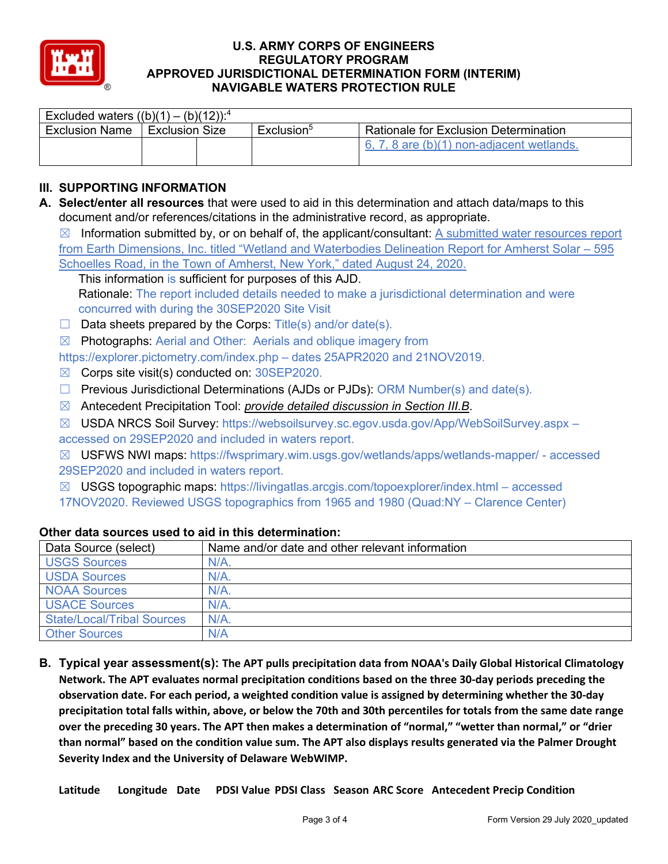

| Excluded waters $((b)(1) - (b)(12))$ : <sup>4</sup> |                |  |                     |                                              |  |  |  |  |
|-----------------------------------------------------|----------------|--|---------------------|----------------------------------------------|--|--|--|--|
| <b>Exclusion Name</b>                               | Exclusion Size |  | $Exclusion^{\circ}$ | <b>Rationale for Exclusion Determination</b> |  |  |  |  |
|                                                     |                |  |                     | 6, 7, 8 are (b)(1) non-adjacent wetlands.    |  |  |  |  |

# **III. SUPPORTING INFORMATION**

**A. Select/enter all resources** that were used to aid in this determination and attach data/maps to this document and/or references/citations in the administrative record, as appropriate.

 $\boxtimes$  Information submitted by, or on behalf of, the applicant/consultant: A submitted water resources report from Earth Dimensions, Inc. titled "Wetland and Waterbodies Delineation Report for Amherst Solar – 595 Schoelles Road, in the Town of Amherst, New York," dated August 24, 2020.

This information is sufficient for purposes of this AJD. Rationale: The report included details needed to make a jurisdictional determination and were concurred with during the 30SEP2020 Site Visit

 $\Box$  Data sheets prepared by the Corps: Title(s) and/or date(s).

☒ Photographs: Aerial and Other: Aerials and oblique imagery from

https://explorer.pictometry.com/index.php – dates 25APR2020 and 21NOV2019.

- $\boxtimes$  Corps site visit(s) conducted on: 30SEP2020.
- ☐ Previous Jurisdictional Determinations (AJDs or PJDs): ORM Number(s) and date(s).
- ☒ Antecedent Precipitation Tool: *provide detailed discussion in Section III.B*.
- ☒ USDA NRCS Soil Survey: https://websoilsurvey.sc.egov.usda.gov/App/WebSoilSurvey.aspx accessed on 29SEP2020 and included in waters report.
- ☒ USFWS NWI maps: https://fwsprimary.wim.usgs.gov/wetlands/apps/wetlands-mapper/ accessed 29SEP2020 and included in waters report.

 $\boxtimes$  USGS topographic maps: https://livingatlas.arcgis.com/topoexplorer/index.html – accessed 17NOV2020. Reviewed USGS topographics from 1965 and 1980 (Quad:NY – Clarence Center)

| Data Source (select)              | Name and/or date and other relevant information |
|-----------------------------------|-------------------------------------------------|
| <b>USGS Sources</b>               | $N/A$ .                                         |
| <b>USDA Sources</b>               | $N/A$ .                                         |
| <b>NOAA Sources</b>               | N/A                                             |
| <b>USACE Sources</b>              | $N/A$ .                                         |
| <b>State/Local/Tribal Sources</b> | $N/A$ .                                         |
| <b>Other Sources</b>              | N/A                                             |

#### **Other data sources used to aid in this determination:**

**B. Typical year assessment(s): The APT pulls precipitation data from NOAA's Daily Global Historical Climatology Network. The APT evaluates normal precipitation conditions based on the three 30-day periods preceding the observation date. For each period, a weighted condition value is assigned by determining whether the 30-day precipitation total falls within, above, or below the 70th and 30th percentiles for totals from the same date range over the preceding 30 years. The APT then makes a determination of "normal," "wetter than normal," or "drier than normal" based on the condition value sum. The APT also displays results generated via the Palmer Drought Severity Index and the University of Delaware WebWIMP.**

**Latitude Longitude Date PDSI Value PDSI Class Season ARC Score Antecedent Precip Condition**